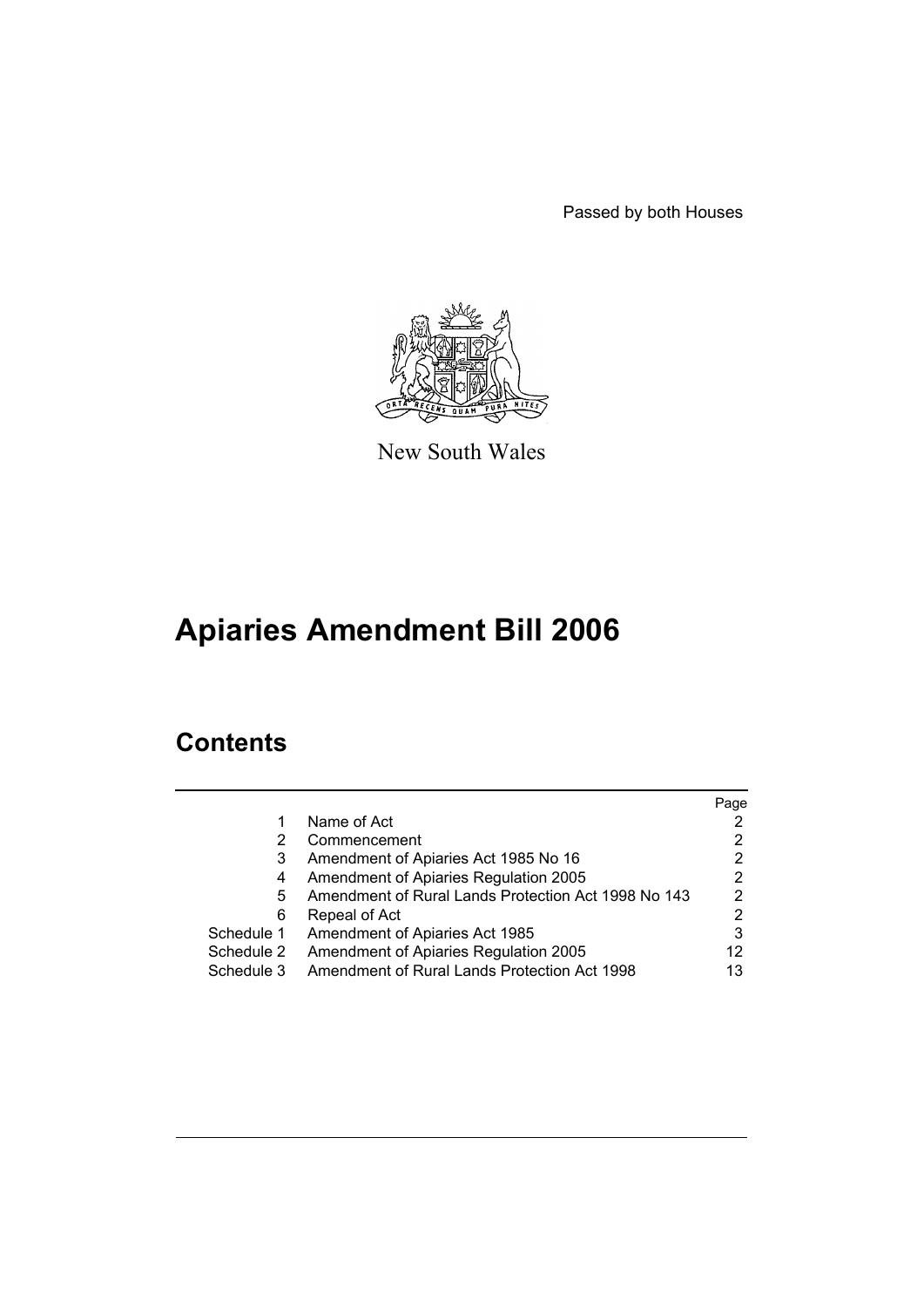Passed by both Houses



New South Wales

# **Apiaries Amendment Bill 2006**

# **Contents**

|            |                                                     | Page |
|------------|-----------------------------------------------------|------|
|            | Name of Act                                         |      |
| 2          | Commencement                                        |      |
| 3          | Amendment of Apiaries Act 1985 No 16                | 2    |
| 4          | Amendment of Apiaries Regulation 2005               | 2    |
| 5          | Amendment of Rural Lands Protection Act 1998 No 143 | 2    |
| 6          | Repeal of Act                                       | 2    |
| Schedule 1 | Amendment of Apiaries Act 1985                      | 3    |
| Schedule 2 | Amendment of Apiaries Regulation 2005               | 12   |
| Schedule 3 | Amendment of Rural Lands Protection Act 1998        | 13   |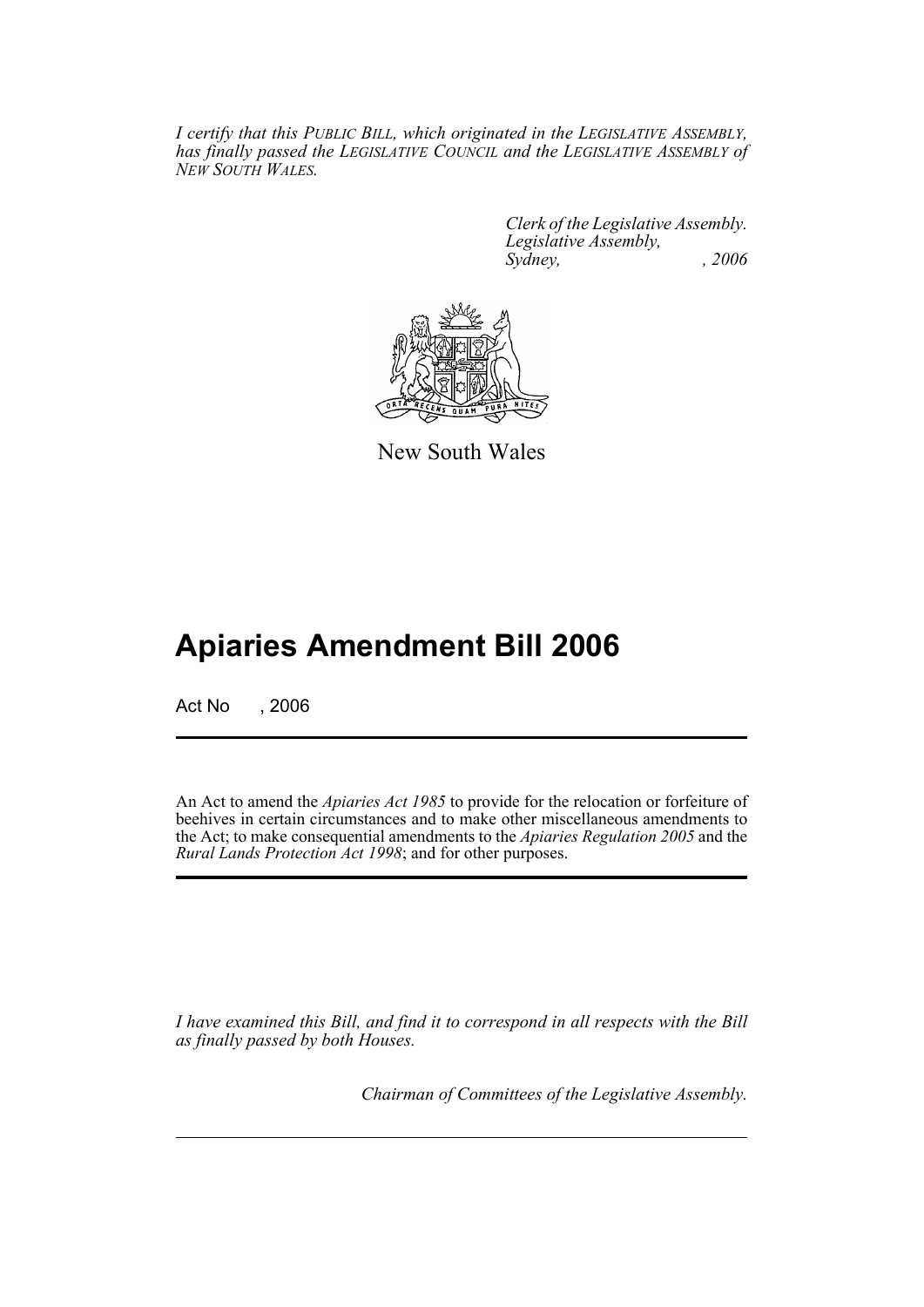*I certify that this PUBLIC BILL, which originated in the LEGISLATIVE ASSEMBLY, has finally passed the LEGISLATIVE COUNCIL and the LEGISLATIVE ASSEMBLY of NEW SOUTH WALES.*

> *Clerk of the Legislative Assembly. Legislative Assembly, Sydney, , 2006*



New South Wales

# **Apiaries Amendment Bill 2006**

Act No . 2006

An Act to amend the *Apiaries Act 1985* to provide for the relocation or forfeiture of beehives in certain circumstances and to make other miscellaneous amendments to the Act; to make consequential amendments to the *Apiaries Regulation 2005* and the *Rural Lands Protection Act 1998*; and for other purposes.

*I have examined this Bill, and find it to correspond in all respects with the Bill as finally passed by both Houses.*

*Chairman of Committees of the Legislative Assembly.*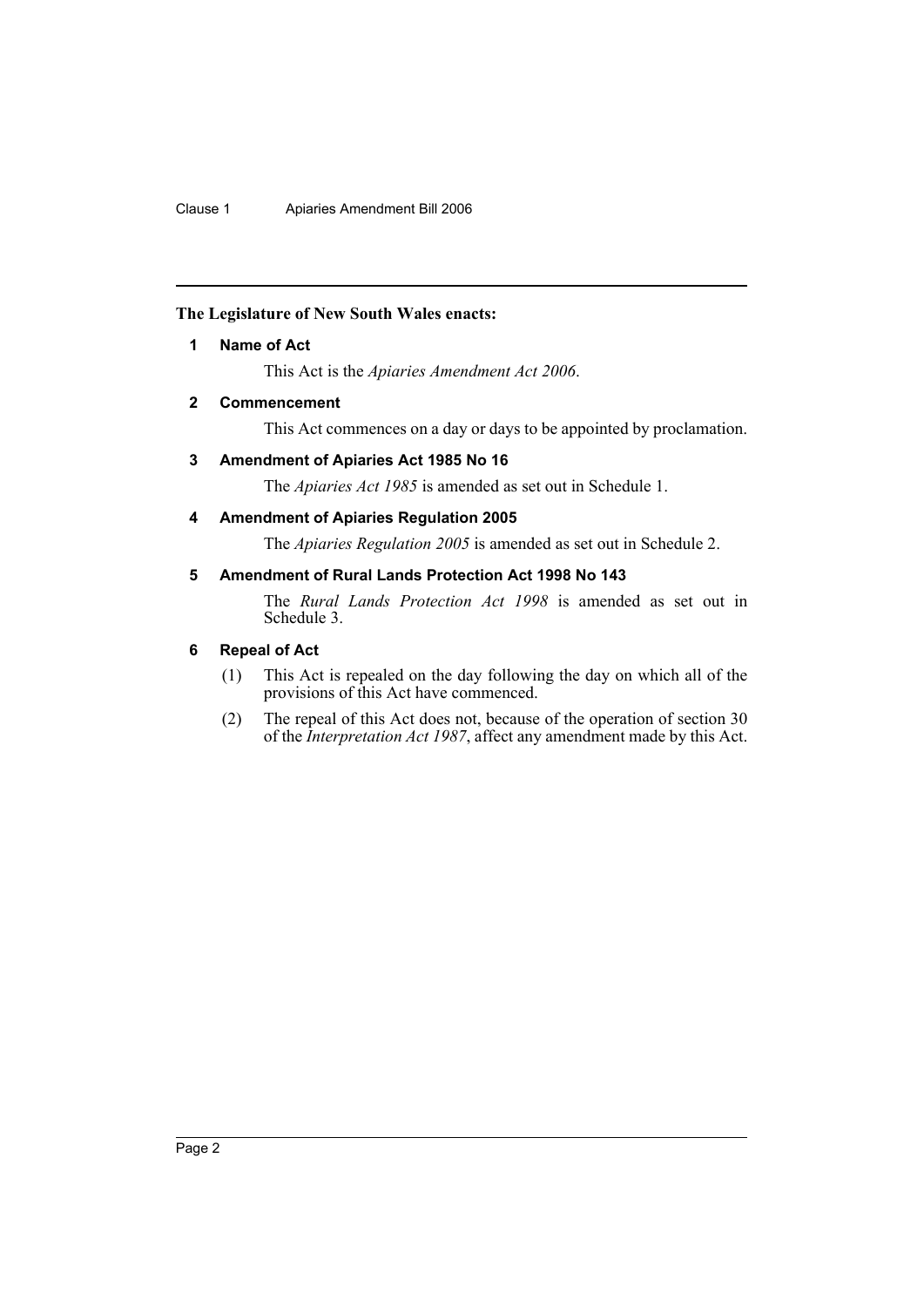# **The Legislature of New South Wales enacts:**

# **1 Name of Act**

This Act is the *Apiaries Amendment Act 2006*.

# **2 Commencement**

This Act commences on a day or days to be appointed by proclamation.

# **3 Amendment of Apiaries Act 1985 No 16**

The *Apiaries Act 1985* is amended as set out in Schedule 1.

# **4 Amendment of Apiaries Regulation 2005**

The *Apiaries Regulation 2005* is amended as set out in Schedule 2.

# **5 Amendment of Rural Lands Protection Act 1998 No 143**

The *Rural Lands Protection Act 1998* is amended as set out in Schedule 3.

# **6 Repeal of Act**

- (1) This Act is repealed on the day following the day on which all of the provisions of this Act have commenced.
- (2) The repeal of this Act does not, because of the operation of section 30 of the *Interpretation Act 1987*, affect any amendment made by this Act.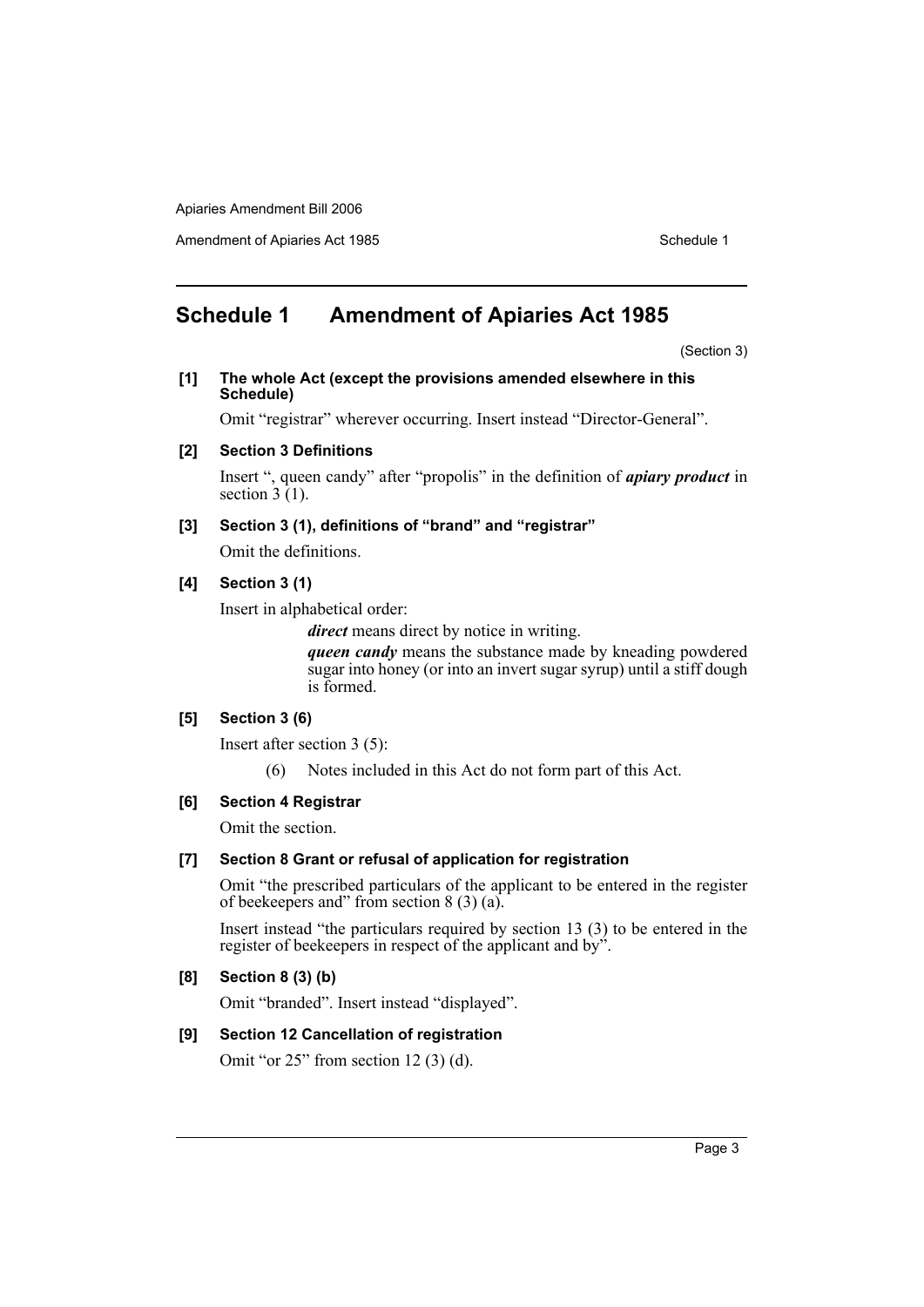Amendment of Apiaries Act 1985 Schedule 1

# **Schedule 1 Amendment of Apiaries Act 1985**

(Section 3)

**[1] The whole Act (except the provisions amended elsewhere in this Schedule)**

Omit "registrar" wherever occurring. Insert instead "Director-General".

## **[2] Section 3 Definitions**

Insert ", queen candy" after "propolis" in the definition of *apiary product* in section  $\hat{3}$  (1).

# **[3] Section 3 (1), definitions of "brand" and "registrar"**

Omit the definitions.

# **[4] Section 3 (1)**

Insert in alphabetical order:

*direct* means direct by notice in writing.

*queen candy* means the substance made by kneading powdered sugar into honey (or into an invert sugar syrup) until a stiff dough is formed.

# **[5] Section 3 (6)**

Insert after section 3 (5):

(6) Notes included in this Act do not form part of this Act.

# **[6] Section 4 Registrar**

Omit the section.

# **[7] Section 8 Grant or refusal of application for registration**

Omit "the prescribed particulars of the applicant to be entered in the register of beekeepers and" from section 8 (3) (a).

Insert instead "the particulars required by section 13 (3) to be entered in the register of beekeepers in respect of the applicant and by".

# **[8] Section 8 (3) (b)**

Omit "branded". Insert instead "displayed".

# **[9] Section 12 Cancellation of registration**

Omit "or 25" from section 12 (3) (d).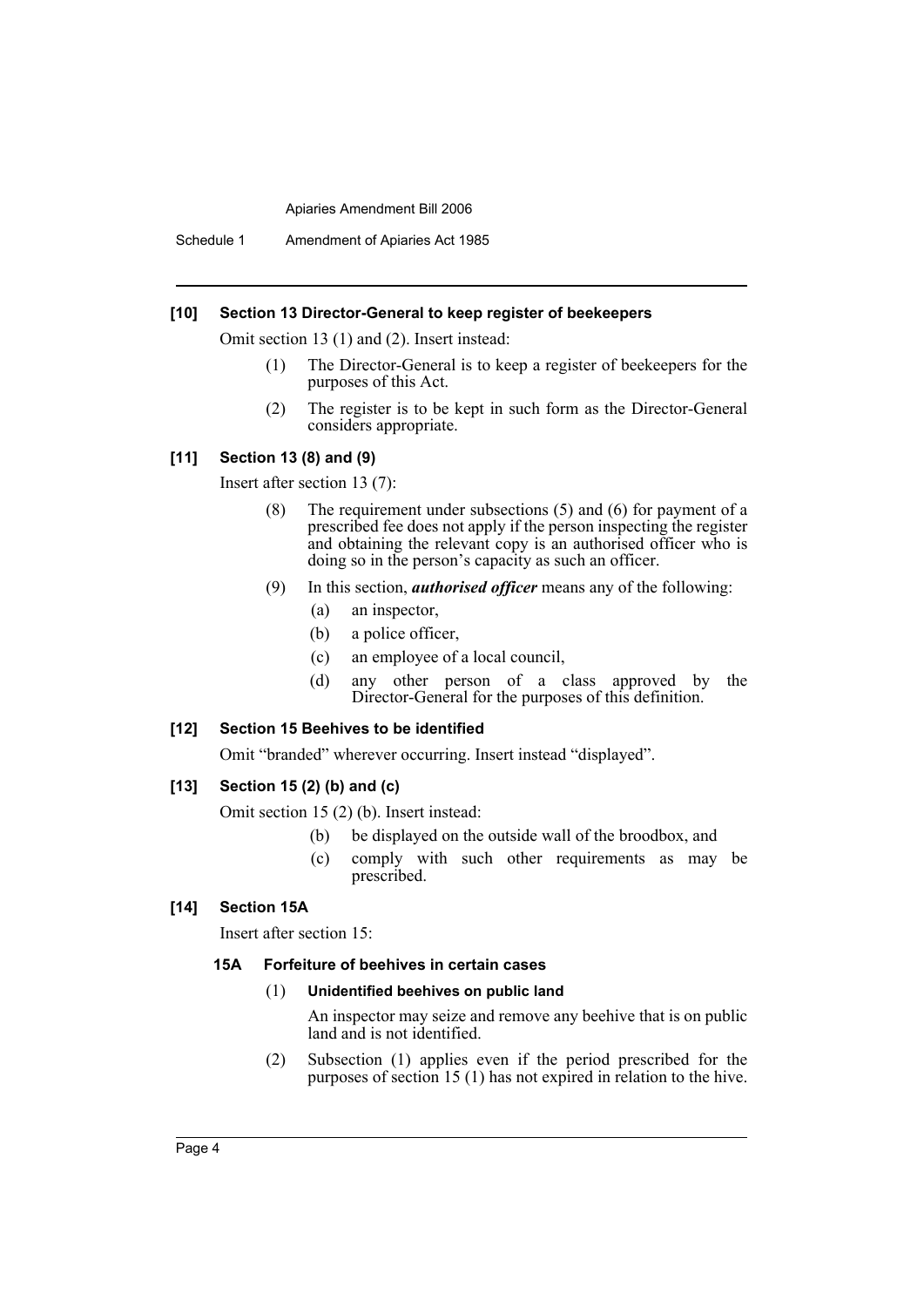Schedule 1 Amendment of Apiaries Act 1985

#### **[10] Section 13 Director-General to keep register of beekeepers**

Omit section 13 (1) and (2). Insert instead:

- (1) The Director-General is to keep a register of beekeepers for the purposes of this Act.
- (2) The register is to be kept in such form as the Director-General considers appropriate.

## **[11] Section 13 (8) and (9)**

Insert after section 13 (7):

- (8) The requirement under subsections (5) and (6) for payment of a prescribed fee does not apply if the person inspecting the register and obtaining the relevant copy is an authorised officer who is doing so in the person's capacity as such an officer.
- (9) In this section, *authorised officer* means any of the following:
	- (a) an inspector,
	- (b) a police officer,
	- (c) an employee of a local council,
	- (d) any other person of a class approved by the Director-General for the purposes of this definition.

#### **[12] Section 15 Beehives to be identified**

Omit "branded" wherever occurring. Insert instead "displayed".

# **[13] Section 15 (2) (b) and (c)**

Omit section 15 (2) (b). Insert instead:

- (b) be displayed on the outside wall of the broodbox, and
- (c) comply with such other requirements as may be prescribed.

# **[14] Section 15A**

Insert after section 15:

#### **15A Forfeiture of beehives in certain cases**

## (1) **Unidentified beehives on public land**

An inspector may seize and remove any beehive that is on public land and is not identified.

(2) Subsection (1) applies even if the period prescribed for the purposes of section 15 (1) has not expired in relation to the hive.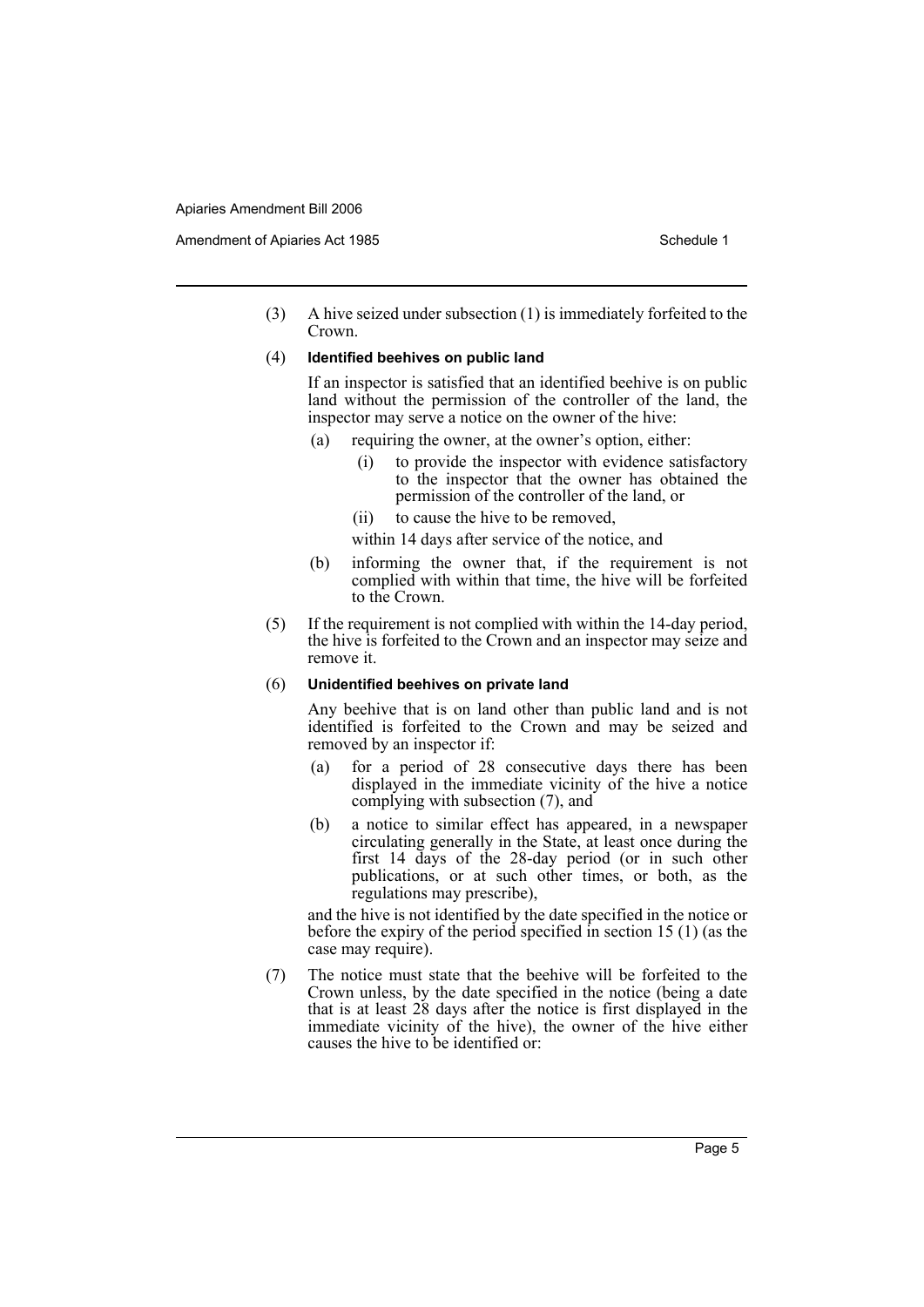(3) A hive seized under subsection (1) is immediately forfeited to the Crown.

#### (4) **Identified beehives on public land**

If an inspector is satisfied that an identified beehive is on public land without the permission of the controller of the land, the inspector may serve a notice on the owner of the hive:

- (a) requiring the owner, at the owner's option, either:
	- (i) to provide the inspector with evidence satisfactory to the inspector that the owner has obtained the permission of the controller of the land, or
	- (ii) to cause the hive to be removed,
	- within 14 days after service of the notice, and
- (b) informing the owner that, if the requirement is not complied with within that time, the hive will be forfeited to the Crown.
- (5) If the requirement is not complied with within the 14-day period, the hive is forfeited to the Crown and an inspector may seize and remove it.

#### (6) **Unidentified beehives on private land**

Any beehive that is on land other than public land and is not identified is forfeited to the Crown and may be seized and removed by an inspector if:

- (a) for a period of 28 consecutive days there has been displayed in the immediate vicinity of the hive a notice complying with subsection (7), and
- (b) a notice to similar effect has appeared, in a newspaper circulating generally in the State, at least once during the first 14 days of the 28-day period (or in such other publications, or at such other times, or both, as the regulations may prescribe),

and the hive is not identified by the date specified in the notice or before the expiry of the period specified in section 15 (1) (as the case may require).

(7) The notice must state that the beehive will be forfeited to the Crown unless, by the date specified in the notice (being a date that is at least 28 days after the notice is first displayed in the immediate vicinity of the hive), the owner of the hive either causes the hive to be identified or: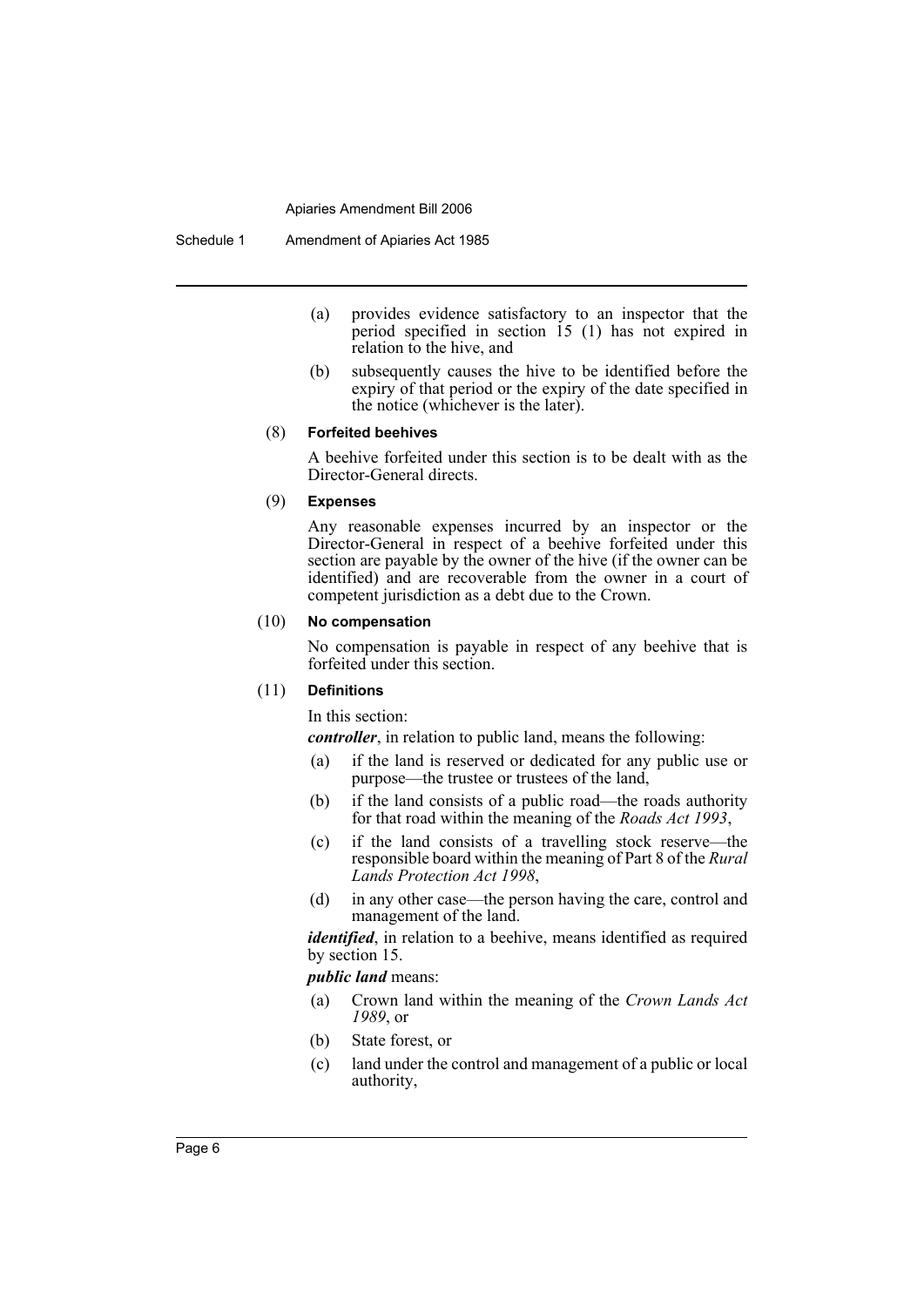- (a) provides evidence satisfactory to an inspector that the period specified in section  $\overline{15}$  (1) has not expired in relation to the hive, and
- (b) subsequently causes the hive to be identified before the expiry of that period or the expiry of the date specified in the notice (whichever is the later).

#### (8) **Forfeited beehives**

A beehive forfeited under this section is to be dealt with as the Director-General directs.

## (9) **Expenses**

Any reasonable expenses incurred by an inspector or the Director-General in respect of a beehive forfeited under this section are payable by the owner of the hive (if the owner can be identified) and are recoverable from the owner in a court of competent jurisdiction as a debt due to the Crown.

# (10) **No compensation**

No compensation is payable in respect of any beehive that is forfeited under this section.

#### (11) **Definitions**

In this section:

*controller*, in relation to public land, means the following:

- (a) if the land is reserved or dedicated for any public use or purpose—the trustee or trustees of the land,
- (b) if the land consists of a public road—the roads authority for that road within the meaning of the *Roads Act 1993*,
- (c) if the land consists of a travelling stock reserve—the responsible board within the meaning of Part 8 of the *Rural Lands Protection Act 1998*,
- (d) in any other case—the person having the care, control and management of the land.

*identified*, in relation to a beehive, means identified as required by section 15.

*public land* means:

- (a) Crown land within the meaning of the *Crown Lands Act 1989*, or
- (b) State forest, or
- (c) land under the control and management of a public or local authority,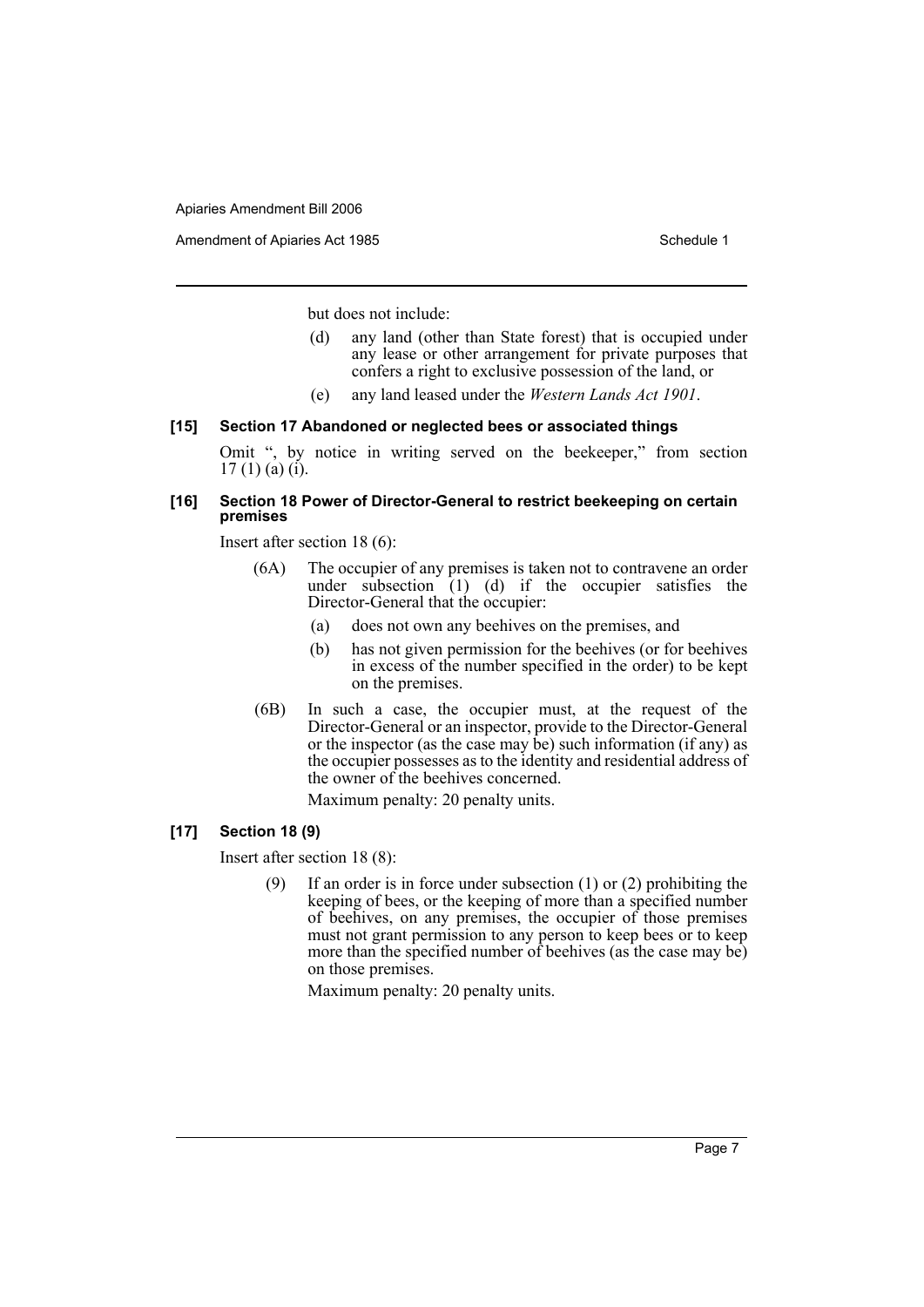Amendment of Apiaries Act 1985 Schedule 1

but does not include:

- (d) any land (other than State forest) that is occupied under any lease or other arrangement for private purposes that confers a right to exclusive possession of the land, or
- (e) any land leased under the *Western Lands Act 1901*.

## **[15] Section 17 Abandoned or neglected bees or associated things**

Omit ", by notice in writing served on the beekeeper," from section  $17(1)$  (a) (i).

# **[16] Section 18 Power of Director-General to restrict beekeeping on certain premises**

Insert after section 18 (6):

- (6A) The occupier of any premises is taken not to contravene an order under subsection  $(1)$   $(d)$  if the occupier satisfies the Director-General that the occupier:
	- (a) does not own any beehives on the premises, and
	- (b) has not given permission for the beehives (or for beehives in excess of the number specified in the order) to be kept on the premises.
- (6B) In such a case, the occupier must, at the request of the Director-General or an inspector, provide to the Director-General or the inspector (as the case may be) such information (if any) as the occupier possesses as to the identity and residential address of the owner of the beehives concerned.

Maximum penalty: 20 penalty units.

## **[17] Section 18 (9)**

Insert after section 18 (8):

If an order is in force under subsection  $(1)$  or  $(2)$  prohibiting the keeping of bees, or the keeping of more than a specified number of beehives, on any premises, the occupier of those premises must not grant permission to any person to keep bees or to keep more than the specified number of beehives (as the case may be) on those premises.

Maximum penalty: 20 penalty units.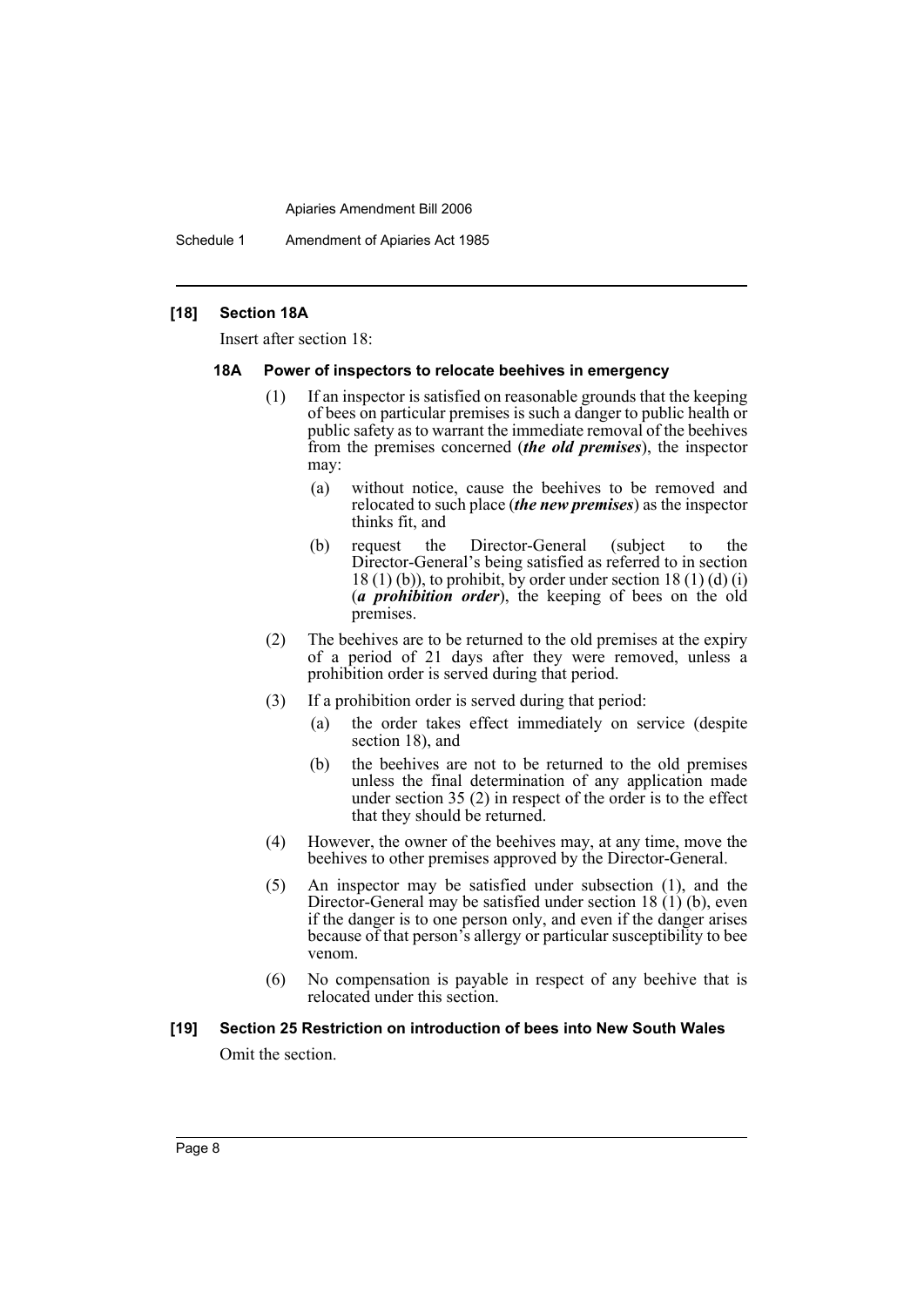Schedule 1 Amendment of Apiaries Act 1985

# **[18] Section 18A**

Insert after section 18:

#### **18A Power of inspectors to relocate beehives in emergency**

- (1) If an inspector is satisfied on reasonable grounds that the keeping of bees on particular premises is such a danger to public health or public safety as to warrant the immediate removal of the beehives from the premises concerned (*the old premises*), the inspector may:
	- (a) without notice, cause the beehives to be removed and relocated to such place (*the new premises*) as the inspector thinks fit, and
	- (b) request the Director-General (subject to the Director-General's being satisfied as referred to in section  $18(1)(b)$ , to prohibit, by order under section  $18(1)(d)(i)$ (*a prohibition order*), the keeping of bees on the old premises.
- (2) The beehives are to be returned to the old premises at the expiry of a period of 21 days after they were removed, unless a prohibition order is served during that period.
- (3) If a prohibition order is served during that period:
	- (a) the order takes effect immediately on service (despite section 18), and
	- (b) the beehives are not to be returned to the old premises unless the final determination of any application made under section 35 (2) in respect of the order is to the effect that they should be returned.
- (4) However, the owner of the beehives may, at any time, move the beehives to other premises approved by the Director-General.
- (5) An inspector may be satisfied under subsection (1), and the Director-General may be satisfied under section 18 $(1)(b)$ , even if the danger is to one person only, and even if the danger arises because of that person's allergy or particular susceptibility to bee venom.
- (6) No compensation is payable in respect of any beehive that is relocated under this section.

#### **[19] Section 25 Restriction on introduction of bees into New South Wales**

Omit the section.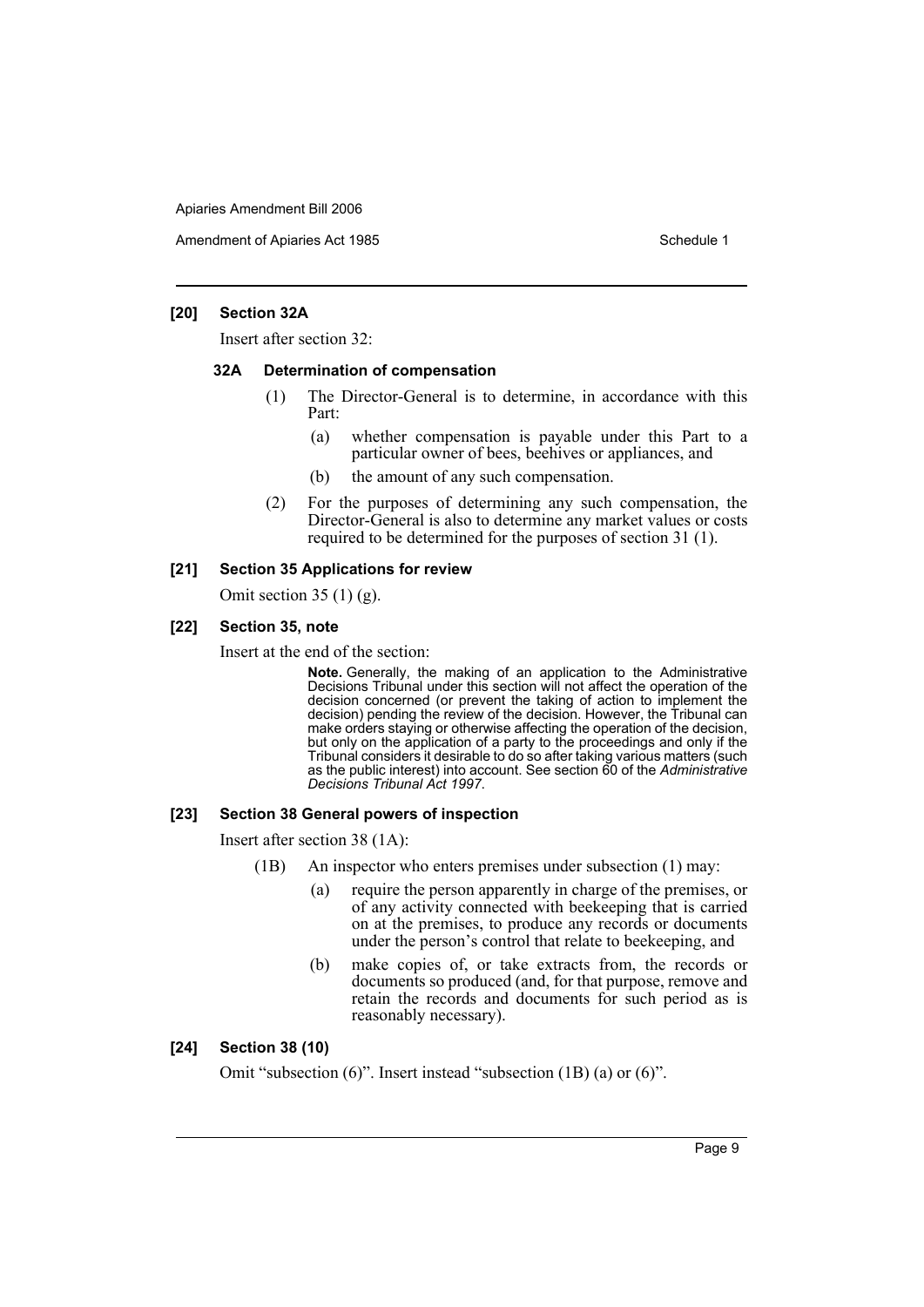Amendment of Apiaries Act 1985 Schedule 1

## **[20] Section 32A**

Insert after section 32:

## **32A Determination of compensation**

- (1) The Director-General is to determine, in accordance with this Part:
	- (a) whether compensation is payable under this Part to a particular owner of bees, beehives or appliances, and
	- (b) the amount of any such compensation.
- (2) For the purposes of determining any such compensation, the Director-General is also to determine any market values or costs required to be determined for the purposes of section 31 (1).

## **[21] Section 35 Applications for review**

Omit section 35  $(1)$  (g).

#### **[22] Section 35, note**

Insert at the end of the section:

**Note.** Generally, the making of an application to the Administrative Decisions Tribunal under this section will not affect the operation of the decision concerned (or prevent the taking of action to implement the decision) pending the review of the decision. However, the Tribunal can make orders staying or otherwise affecting the operation of the decision, but only on the application of a party to the proceedings and only if the Tribunal considers it desirable to do so after taking various matters (such as the public interest) into account. See section 60 of the *Administrative Decisions Tribunal Act 1997*.

#### **[23] Section 38 General powers of inspection**

Insert after section 38 (1A):

- (1B) An inspector who enters premises under subsection (1) may:
	- (a) require the person apparently in charge of the premises, or of any activity connected with beekeeping that is carried on at the premises, to produce any records or documents under the person's control that relate to beekeeping, and
	- (b) make copies of, or take extracts from, the records or documents so produced (and, for that purpose, remove and retain the records and documents for such period as is reasonably necessary).

# **[24] Section 38 (10)**

Omit "subsection (6)". Insert instead "subsection (1B) (a) or (6)".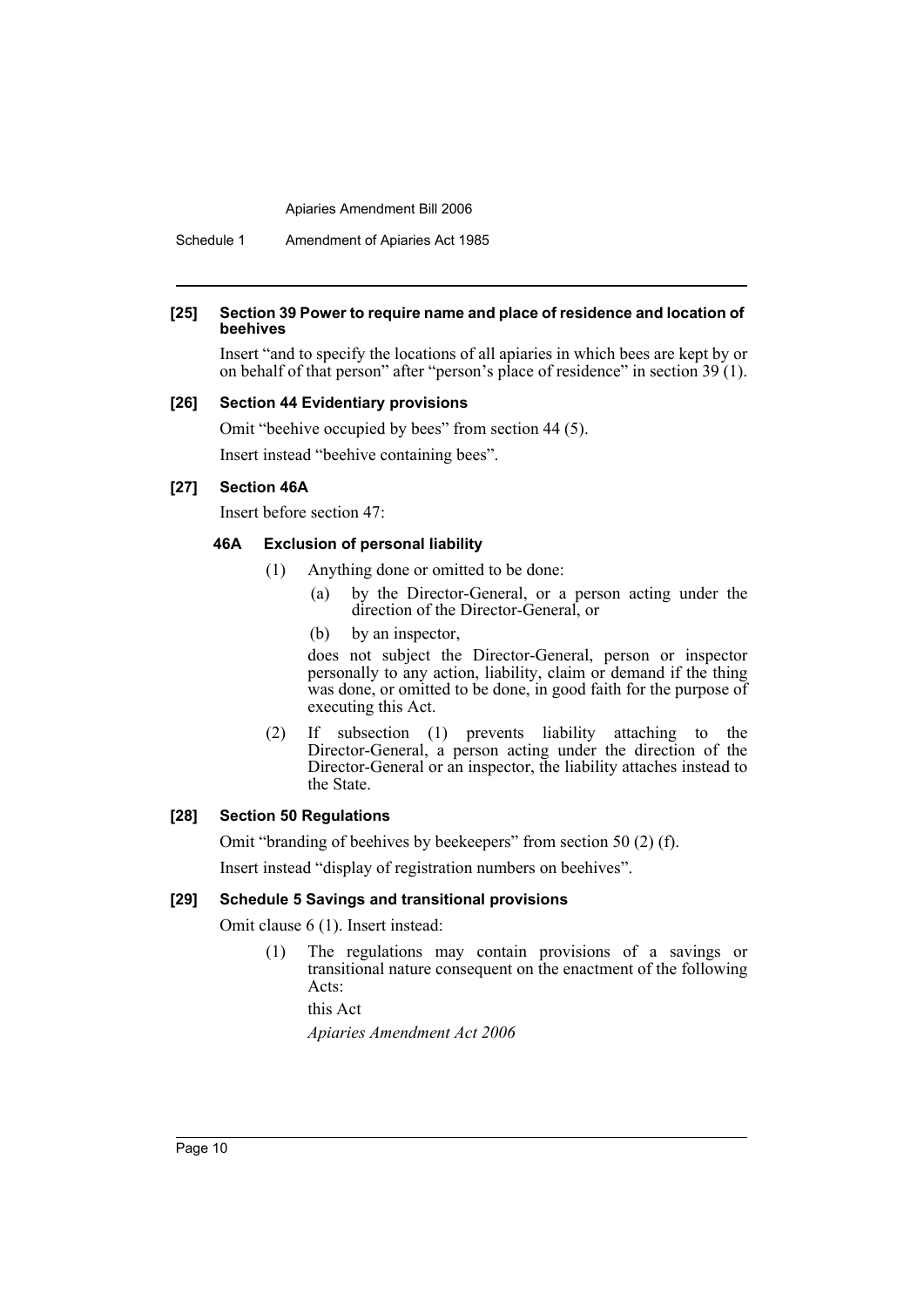Schedule 1 Amendment of Apiaries Act 1985

#### **[25] Section 39 Power to require name and place of residence and location of beehives**

Insert "and to specify the locations of all apiaries in which bees are kept by or on behalf of that person" after "person's place of residence" in section 39 (1).

#### **[26] Section 44 Evidentiary provisions**

Omit "beehive occupied by bees" from section 44 (5).

Insert instead "beehive containing bees".

# **[27] Section 46A**

Insert before section 47:

# **46A Exclusion of personal liability**

- (1) Anything done or omitted to be done:
	- (a) by the Director-General, or a person acting under the direction of the Director-General, or
	- (b) by an inspector,

does not subject the Director-General, person or inspector personally to any action, liability, claim or demand if the thing was done, or omitted to be done, in good faith for the purpose of executing this Act.

(2) If subsection (1) prevents liability attaching to the Director-General, a person acting under the direction of the Director-General or an inspector, the liability attaches instead to the State.

# **[28] Section 50 Regulations**

Omit "branding of beehives by beekeepers" from section 50 (2) (f).

Insert instead "display of registration numbers on beehives".

#### **[29] Schedule 5 Savings and transitional provisions**

Omit clause 6 (1). Insert instead:

(1) The regulations may contain provisions of a savings or transitional nature consequent on the enactment of the following Acts:

this Act

*Apiaries Amendment Act 2006*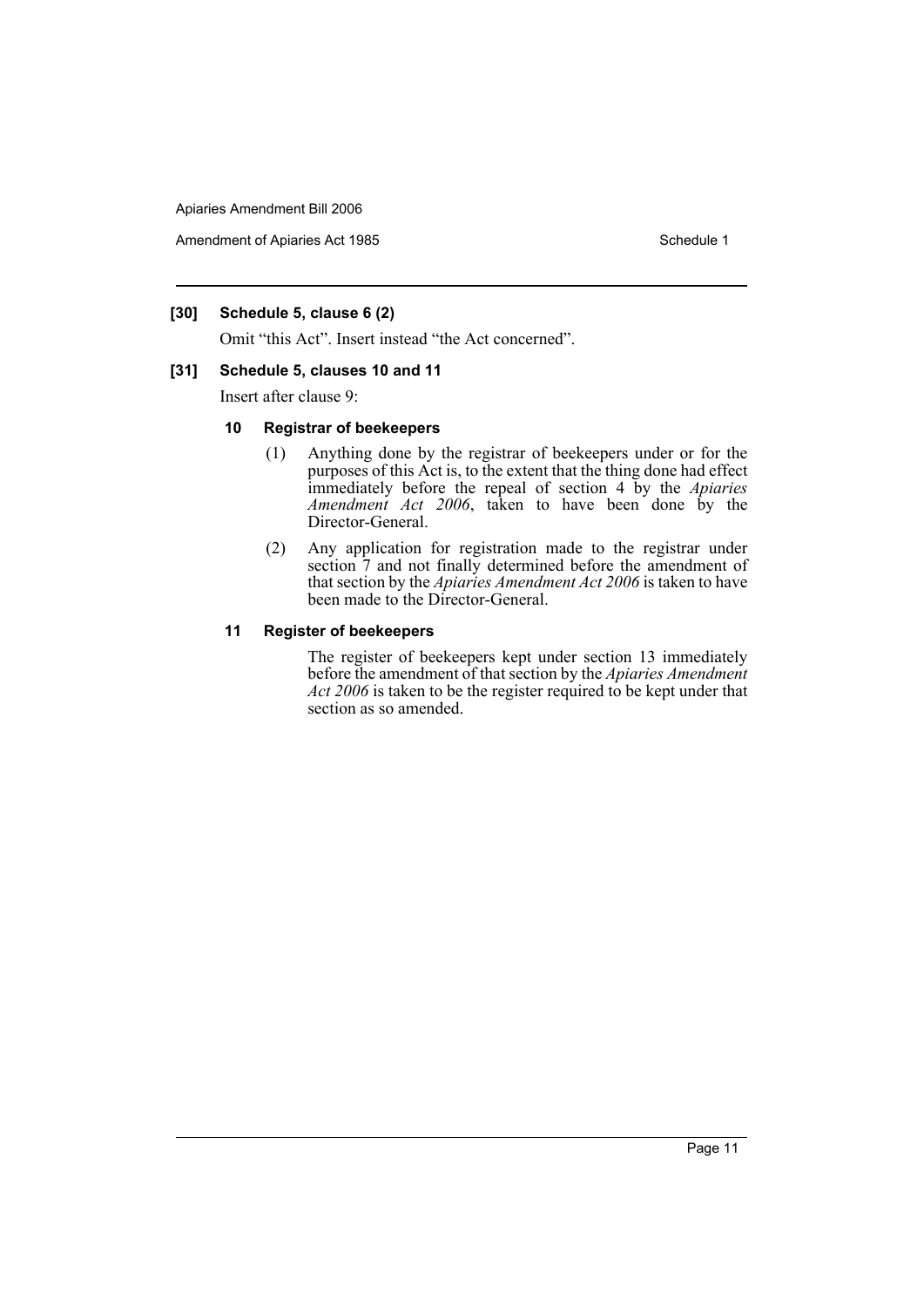Amendment of Apiaries Act 1985 Schedule 1

# **[30] Schedule 5, clause 6 (2)**

Omit "this Act". Insert instead "the Act concerned".

## **[31] Schedule 5, clauses 10 and 11**

Insert after clause 9:

#### **10 Registrar of beekeepers**

- (1) Anything done by the registrar of beekeepers under or for the purposes of this Act is, to the extent that the thing done had effect immediately before the repeal of section 4 by the *Apiaries Amendment Act 2006*, taken to have been done by the Director-General.
- (2) Any application for registration made to the registrar under section  $\bar{7}$  and not finally determined before the amendment of that section by the *Apiaries Amendment Act 2006* is taken to have been made to the Director-General.

## **11 Register of beekeepers**

The register of beekeepers kept under section 13 immediately before the amendment of that section by the *Apiaries Amendment Act 2006* is taken to be the register required to be kept under that section as so amended.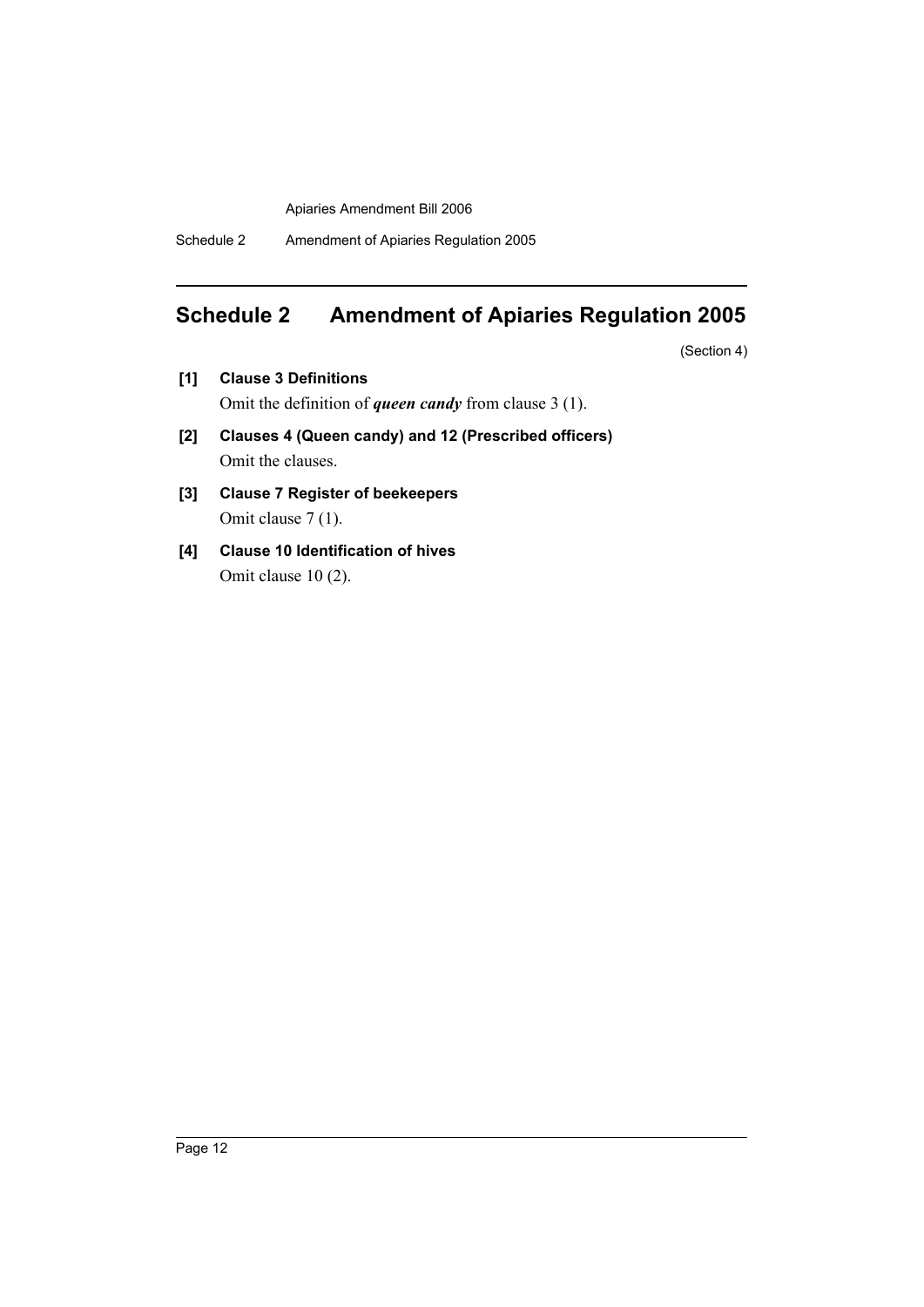Schedule 2 Amendment of Apiaries Regulation 2005

# **Schedule 2 Amendment of Apiaries Regulation 2005**

(Section 4)

- **[1] Clause 3 Definitions** Omit the definition of *queen candy* from clause 3 (1).
- **[2] Clauses 4 (Queen candy) and 12 (Prescribed officers)** Omit the clauses.
- **[3] Clause 7 Register of beekeepers** Omit clause 7 (1).
- **[4] Clause 10 Identification of hives** Omit clause 10 (2).